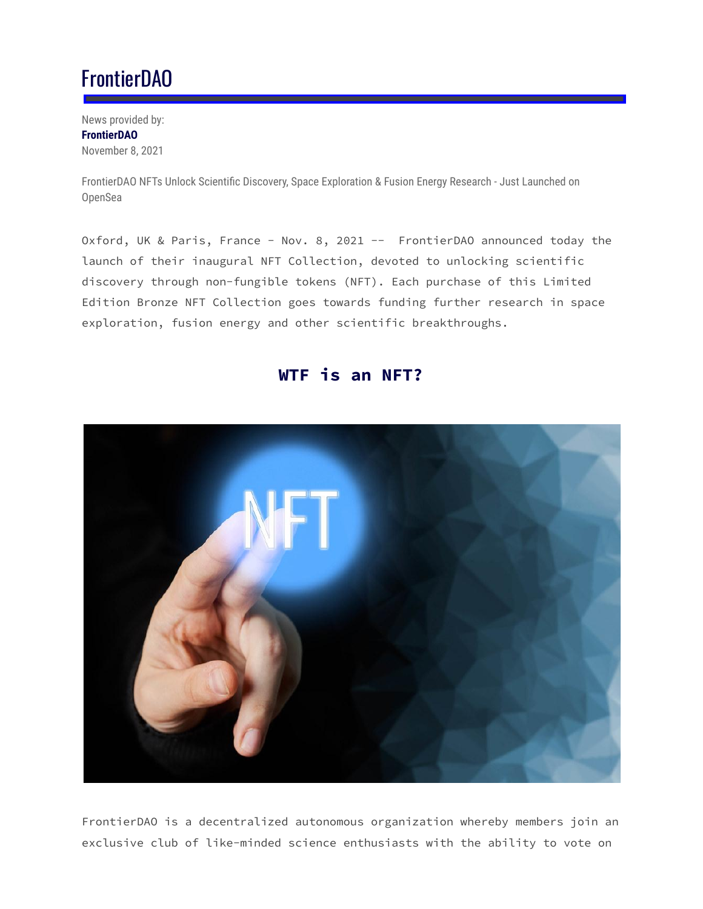## FrontierDAO

News provided by: **FrontierDAO** November 8, 2021

FrontierDAO NFTs Unlock Scientific Discovery, Space Exploration & Fusion Energy Research - Just Launched on OpenSea

Oxford, UK & Paris, France - Nov. 8, 2021 -- FrontierDAO announced today the launch of their inaugural NFT Collection, devoted to unlocking scientific discovery through non-fungible tokens (NFT). Each purchase of this Limited Edition Bronze NFT Collection goes towards funding further research in space exploration, fusion energy and other scientific breakthroughs.



## **WTF is an NFT?**

FrontierDAO is a decentralized autonomous organization whereby members join an exclusive club of like-minded science enthusiasts with the ability to vote on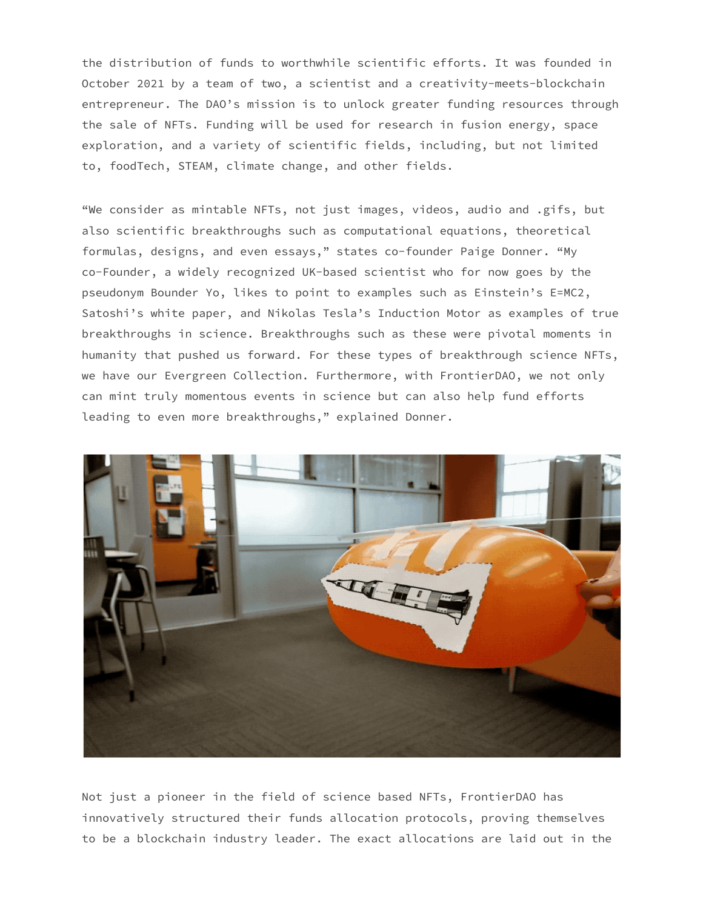the distribution of funds to worthwhile scientific efforts. It was founded in October 2021 by a team of two, a scientist and a creativity-meets-blockchain entrepreneur. The DAO's mission is to unlock greater funding resources through the sale of NFTs. Funding will be used for research in fusion energy, space exploration, and a variety of scientific fields, including, but not limited to, foodTech, STEAM, climate change, and other fields.

"We consider as mintable NFTs, not just images, videos, audio and .gifs, but also scientific breakthroughs such as computational equations, theoretical formulas, designs, and even essays," states co-founder Paige Donner. "My co-Founder, a widely recognized UK-based scientist who for now goes by the pseudonym Bounder Yo, likes to point to examples such as Einstein's E=MC2, Satoshi's white paper, and Nikolas Tesla's Induction Motor as examples of true breakthroughs in science. Breakthroughs such as these were pivotal moments in humanity that pushed us forward. For these types of breakthrough science NFTs, we have our Evergreen Collection. Furthermore, with FrontierDAO, we not only can mint truly momentous events in science but can also help fund efforts leading to even more breakthroughs," explained Donner.



Not just a pioneer in the field of science based NFTs, FrontierDAO has innovatively structured their funds allocation protocols, proving themselves to be a blockchain industry leader. The exact allocations are laid out in the